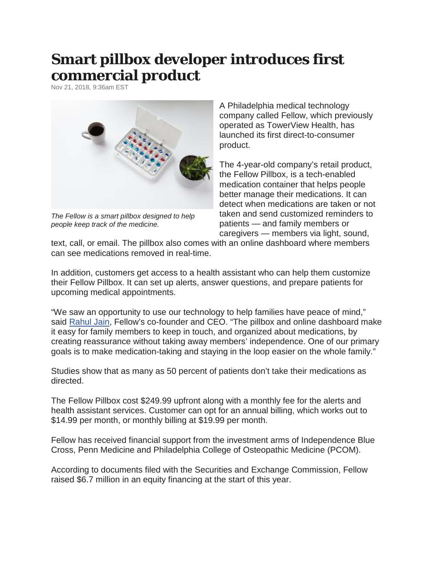## **Smart pillbox developer introduces first commercial product**

Nov 21, 2018, 9:36am EST



*The Fellow is a smart pillbox designed to help people keep track of the medicine.*

A Philadelphia medical technology company called Fellow, which previously operated as TowerView Health, has launched its first direct-to-consumer product.

The 4-year-old company's retail product, the Fellow Pillbox, is a tech-enabled medication container that helps people better manage their medications. It can detect when medications are taken or not taken and send customized reminders to patients — and family members or caregivers — members via light, sound,

text, call, or email. The pillbox also comes with an online dashboard where members can see medications removed in real-time.

In addition, customers get access to a health assistant who can help them customize their Fellow Pillbox. It can set up alerts, answer questions, and prepare patients for upcoming medical appointments.

"We saw an opportunity to use our technology to help families have peace of mind," said [Rahul Jain,](https://www.bizjournals.com/philadelphia/search/results?q=Rahul%20Jain) Fellow's co-founder and CEO. "The pillbox and online dashboard make it easy for family members to keep in touch, and organized about medications, by creating reassurance without taking away members' independence. One of our primary goals is to make medication-taking and staying in the loop easier on the whole family."

Studies show that as many as 50 percent of patients don't take their medications as directed.

The Fellow Pillbox cost \$249.99 upfront along with a monthly fee for the alerts and health assistant services. Customer can opt for an annual billing, which works out to \$14.99 per month, or monthly billing at \$19.99 per month.

Fellow has received financial support from the investment arms of Independence Blue Cross, Penn Medicine and Philadelphia College of Osteopathic Medicine (PCOM).

According to documents filed with the Securities and Exchange Commission, Fellow raised \$6.7 million in an equity financing at the start of this year.